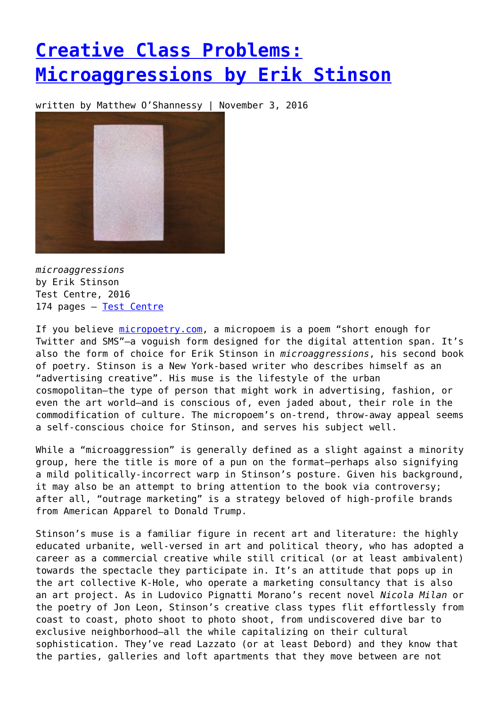## **[Creative Class Problems:](https://entropymag.org/creative-class-problems-microaggressions-by-erik-stinson/) [Microaggressions by Erik Stinson](https://entropymag.org/creative-class-problems-microaggressions-by-erik-stinson/)**

written by Matthew O'Shannessy | November 3, 2016



*microaggressions* by Erik Stinson Test Centre, 2016 174 pages – [Test Centre](http://testcentre.org.uk/product/microaggressions/)

If you believe [micropoetry.com](http://micropoetry.com), a micropoem is a poem "short enough for Twitter and SMS"—a voguish form designed for the digital attention span. It's also the form of choice for Erik Stinson in *microaggressions*, his second book of poetry. Stinson is a New York-based writer who describes himself as an "advertising creative". His muse is the lifestyle of the urban cosmopolitan—the type of person that might work in advertising, fashion, or even the art world—and is conscious of, even jaded about, their role in the commodification of culture. The micropoem's on-trend, throw-away appeal seems a self-conscious choice for Stinson, and serves his subject well.

While a "microaggression" is generally defined as a slight against a minority group, here the title is more of a pun on the format—perhaps also signifying a mild politically-incorrect warp in Stinson's posture. Given his background, it may also be an attempt to bring attention to the book via controversy; after all, "outrage marketing" is a strategy beloved of high-profile brands from American Apparel to Donald Trump.

Stinson's muse is a familiar figure in recent art and literature: the highly educated urbanite, well-versed in art and political theory, who has adopted a career as a commercial creative while still critical (or at least ambivalent) towards the spectacle they participate in. It's an attitude that pops up in the art collective K-Hole, who operate a marketing consultancy that is also an art project. As in Ludovico Pignatti Morano's recent novel *Nicola Milan* or the poetry of Jon Leon, Stinson's creative class types flit effortlessly from coast to coast, photo shoot to photo shoot, from undiscovered dive bar to exclusive neighborhood—all the while capitalizing on their cultural sophistication. They've read Lazzato (or at least Debord) and they know that the parties, galleries and loft apartments that they move between are not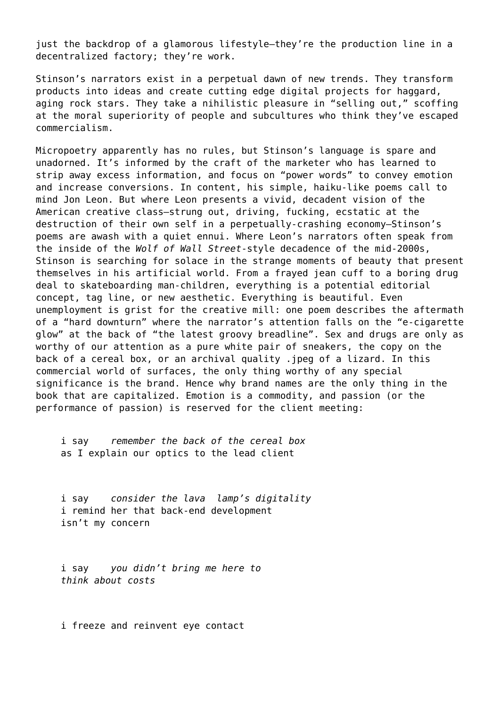just the backdrop of a glamorous lifestyle—they're the production line in a decentralized factory; they're work.

Stinson's narrators exist in a perpetual dawn of new trends. They transform products into ideas and create cutting edge digital projects for haggard, aging rock stars. They take a nihilistic pleasure in "selling out," scoffing at the moral superiority of people and subcultures who think they've escaped commercialism.

Micropoetry apparently has no rules, but Stinson's language is spare and unadorned. It's informed by the craft of the marketer who has learned to strip away excess information, and focus on "power words" to convey emotion and increase conversions. In content, his simple, haiku-like poems call to mind Jon Leon. But where Leon presents a vivid, decadent vision of the American creative class—strung out, driving, fucking, ecstatic at the destruction of their own self in a perpetually-crashing economy—Stinson's poems are awash with a quiet ennui. Where Leon's narrators often speak from the inside of the *Wolf of Wall Street*-style decadence of the mid-2000s, Stinson is searching for solace in the strange moments of beauty that present themselves in his artificial world. From a frayed jean cuff to a boring drug deal to skateboarding man-children, everything is a potential editorial concept, tag line, or new aesthetic. Everything is beautiful. Even unemployment is grist for the creative mill: one poem describes the aftermath of a "hard downturn" where the narrator's attention falls on the "e-cigarette glow" at the back of "the latest groovy breadline". Sex and drugs are only as worthy of our attention as a pure white pair of sneakers, the copy on the back of a cereal box, or an archival quality .jpeg of a lizard. In this commercial world of surfaces, the only thing worthy of any special significance is the brand. Hence why brand names are the only thing in the book that are capitalized. Emotion is a commodity, and passion (or the performance of passion) is reserved for the client meeting:

i say *remember the back of the cereal box* as I explain our optics to the lead client

i say *consider the lava lamp's digitality* i remind her that back-end development isn't my concern

i say *you didn't bring me here to think about costs*

i freeze and reinvent eye contact